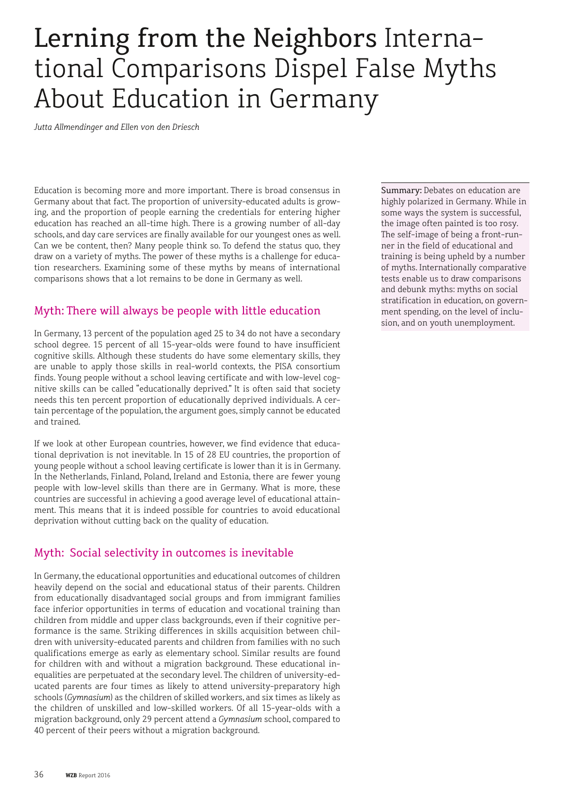# Lerning from the Neighbors International Comparisons Dispel False Myths About Education in Germany

*Jutta Allmendinger and Ellen von den Driesch*

Education is becoming more and more important. There is broad consensus in Germany about that fact. The proportion of university-educated adults is growing, and the proportion of people earning the credentials for entering higher education has reached an all-time high. There is a growing number of all-day schools, and day care services are finally available for our youngest ones as well. Can we be content, then? Many people think so. To defend the status quo, they draw on a variety of myths. The power of these myths is a challenge for education researchers. Examining some of these myths by means of international comparisons shows that a lot remains to be done in Germany as well.

#### Myth: There will always be people with little education

In Germany, 13 percent of the population aged 25 to 34 do not have a secondary school degree. 15 percent of all 15-year-olds were found to have insufficient cognitive skills. Although these students do have some elementary skills, they are unable to apply those skills in real-world contexts, the PISA consortium finds. Young people without a school leaving certificate and with low-level cognitive skills can be called "educationally deprived." It is often said that society needs this ten percent proportion of educationally deprived individuals. A certain percentage of the population, the argument goes, simply cannot be educated and trained.

If we look at other European countries, however, we find evidence that educational deprivation is not inevitable. In 15 of 28 EU countries, the proportion of young people without a school leaving certificate is lower than it is in Germany. In the Netherlands, Finland, Poland, Ireland and Estonia, there are fewer young people with low-level skills than there are in Germany. What is more, these countries are successful in achieving a good average level of educational attainment. This means that it is indeed possible for countries to avoid educational deprivation without cutting back on the quality of education.

#### Myth: Social selectivity in outcomes is inevitable

In Germany, the educational opportunities and educational outcomes of children heavily depend on the social and educational status of their parents. Children from educationally disadvantaged social groups and from immigrant families face inferior opportunities in terms of education and vocational training than children from middle and upper class backgrounds, even if their cognitive performance is the same. Striking differences in skills acquisition between children with university-educated parents and children from families with no such qualifications emerge as early as elementary school. Similar results are found for children with and without a migration background. These educational inequalities are perpetuated at the secondary level. The children of university-educated parents are four times as likely to attend university-preparatory high schools (*Gymnasium*) as the children of skilled workers, and six times as likely as the children of unskilled and low-skilled workers. Of all 15-year-olds with a migration background, only 29 percent attend a *Gymnasium* school, compared to 40 percent of their peers without a migration background.

Summary: Debates on education are highly polarized in Germany. While in some ways the system is successful, the image often painted is too rosy. The self-image of being a front-runner in the field of educational and training is being upheld by a number of myths. Internationally comparative tests enable us to draw comparisons and debunk myths: myths on social stratification in education, on government spending, on the level of inclusion, and on youth unemployment.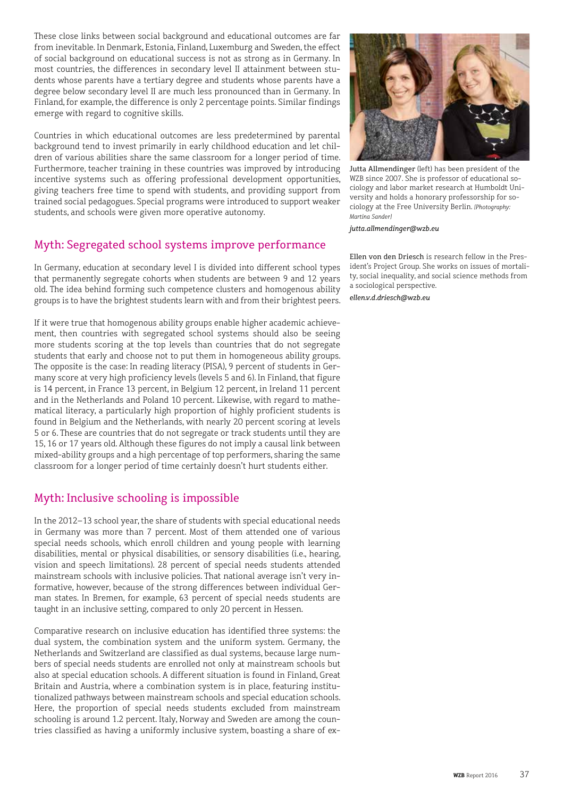These close links between social background and educational outcomes are far from inevitable. In Denmark, Estonia, Finland, Luxemburg and Sweden, the effect of social background on educational success is not as strong as in Germany. In most countries, the differences in secondary level II attainment between students whose parents have a tertiary degree and students whose parents have a degree below secondary level II are much less pronounced than in Germany. In Finland, for example, the difference is only 2 percentage points. Similar findings emerge with regard to cognitive skills.

Countries in which educational outcomes are less predetermined by parental background tend to invest primarily in early childhood education and let children of various abilities share the same classroom for a longer period of time. Furthermore, teacher training in these countries was improved by introducing incentive systems such as offering professional development opportunities, giving teachers free time to spend with students, and providing support from trained social pedagogues. Special programs were introduced to support weaker students, and schools were given more operative autonomy.

## Myth: Segregated school systems improve performance

In Germany, education at secondary level I is divided into different school types that permanently segregate cohorts when students are between 9 and 12 years old. The idea behind forming such competence clusters and homogenous ability groups is to have the brightest students learn with and from their brightest peers.

If it were true that homogenous ability groups enable higher academic achievement, then countries with segregated school systems should also be seeing more students scoring at the top levels than countries that do not segregate students that early and choose not to put them in homogeneous ability groups. The opposite is the case: In reading literacy (PISA), 9 percent of students in Germany score at very high proficiency levels (levels 5 and 6). In Finland, that figure is 14 percent, in France 13 percent, in Belgium 12 percent, in Ireland 11 percent and in the Netherlands and Poland 10 percent. Likewise, with regard to mathematical literacy, a particularly high proportion of highly proficient students is found in Belgium and the Netherlands, with nearly 20 percent scoring at levels 5 or 6. These are countries that do not segregate or track students until they are 15, 16 or 17 years old. Although these figures do not imply a causal link between mixed-ability groups and a high percentage of top performers, sharing the same classroom for a longer period of time certainly doesn't hurt students either.

# Myth: Inclusive schooling is impossible

In the 2012–13 school year, the share of students with special educational needs in Germany was more than 7 percent. Most of them attended one of various special needs schools, which enroll children and young people with learning disabilities, mental or physical disabilities, or sensory disabilities (i.e., hearing, vision and speech limitations). 28 percent of special needs students attended mainstream schools with inclusive policies. That national average isn't very informative, however, because of the strong differences between individual German states. In Bremen, for example, 63 percent of special needs students are taught in an inclusive setting, compared to only 20 percent in Hessen.

Comparative research on inclusive education has identified three systems: the dual system, the combination system and the uniform system. Germany, the Netherlands and Switzerland are classified as dual systems, because large numbers of special needs students are enrolled not only at mainstream schools but also at special education schools. A different situation is found in Finland, Great Britain and Austria, where a combination system is in place, featuring institutionalized pathways between mainstream schools and special education schools. Here, the proportion of special needs students excluded from mainstream schooling is around 1.2 percent. Italy, Norway and Sweden are among the countries classified as having a uniformly inclusive system, boasting a share of ex-



Jutta Allmendinger (left) has been president of the WZB since 2007. She is professor of educational sociology and labor market research at Humboldt University and holds a honorary professorship for sociology at the Free University Berlin. *[Photography: Martina Sander]*

*jutta.allmendinger@wzb.eu*

Ellen von den Driesch is research fellow in the President's Project Group. She works on issues of mortality, social inequality, and social science methods from a sociological perspective.

*ellen.v.d.driesch@wzb.eu*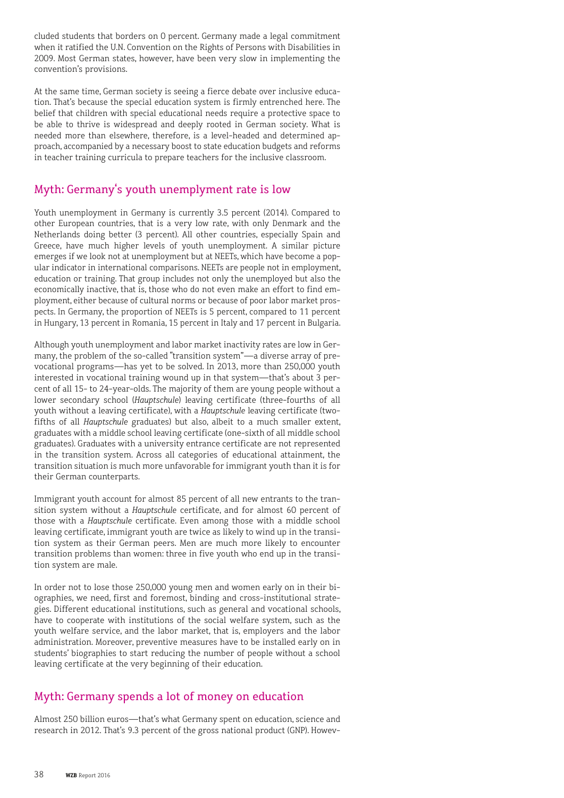cluded students that borders on 0 percent. Germany made a legal commitment when it ratified the U.N. Convention on the Rights of Persons with Disabilities in 2009. Most German states, however, have been very slow in implementing the convention's provisions.

At the same time, German society is seeing a fierce debate over inclusive education. That's because the special education system is firmly entrenched here. The belief that children with special educational needs require a protective space to be able to thrive is widespread and deeply rooted in German society. What is needed more than elsewhere, therefore, is a level-headed and determined approach, accompanied by a necessary boost to state education budgets and reforms in teacher training curricula to prepare teachers for the inclusive classroom.

### Myth: Germany's youth unemplyment rate is low

Youth unemployment in Germany is currently 3.5 percent (2014). Compared to other European countries, that is a very low rate, with only Denmark and the Netherlands doing better (3 percent). All other countries, especially Spain and Greece, have much higher levels of youth unemployment. A similar picture emerges if we look not at unemployment but at NEETs, which have become a popular indicator in international comparisons. NEETs are people not in employment, education or training. That group includes not only the unemployed but also the economically inactive, that is, those who do not even make an effort to find employment, either because of cultural norms or because of poor labor market prospects. In Germany, the proportion of NEETs is 5 percent, compared to 11 percent in Hungary, 13 percent in Romania, 15 percent in Italy and 17 percent in Bulgaria.

Although youth unemployment and labor market inactivity rates are low in Germany, the problem of the so-called "transition system"—a diverse array of prevocational programs—has yet to be solved. In 2013, more than 250,000 youth interested in vocational training wound up in that system—that's about 3 percent of all 15- to 24-year-olds. The majority of them are young people without a lower secondary school (*Hauptschule*) leaving certificate (three-fourths of all youth without a leaving certificate), with a *Hauptschule* leaving certificate (twofifths of all *Hauptschule* graduates) but also, albeit to a much smaller extent, graduates with a middle school leaving certificate (one-sixth of all middle school graduates). Graduates with a university entrance certificate are not represented in the transition system. Across all categories of educational attainment, the transition situation is much more unfavorable for immigrant youth than it is for their German counterparts.

Immigrant youth account for almost 85 percent of all new entrants to the transition system without a *Hauptschule* certificate, and for almost 60 percent of those with a *Hauptschule* certificate. Even among those with a middle school leaving certificate, immigrant youth are twice as likely to wind up in the transition system as their German peers. Men are much more likely to encounter transition problems than women: three in five youth who end up in the transition system are male.

In order not to lose those 250,000 young men and women early on in their biographies, we need, first and foremost, binding and cross-institutional strategies. Different educational institutions, such as general and vocational schools, have to cooperate with institutions of the social welfare system, such as the youth welfare service, and the labor market, that is, employers and the labor administration. Moreover, preventive measures have to be installed early on in students' biographies to start reducing the number of people without a school leaving certificate at the very beginning of their education.

# Myth: Germany spends a lot of money on education

Almost 250 billion euros—that's what Germany spent on education, science and research in 2012. That's 9.3 percent of the gross national product (GNP). Howev